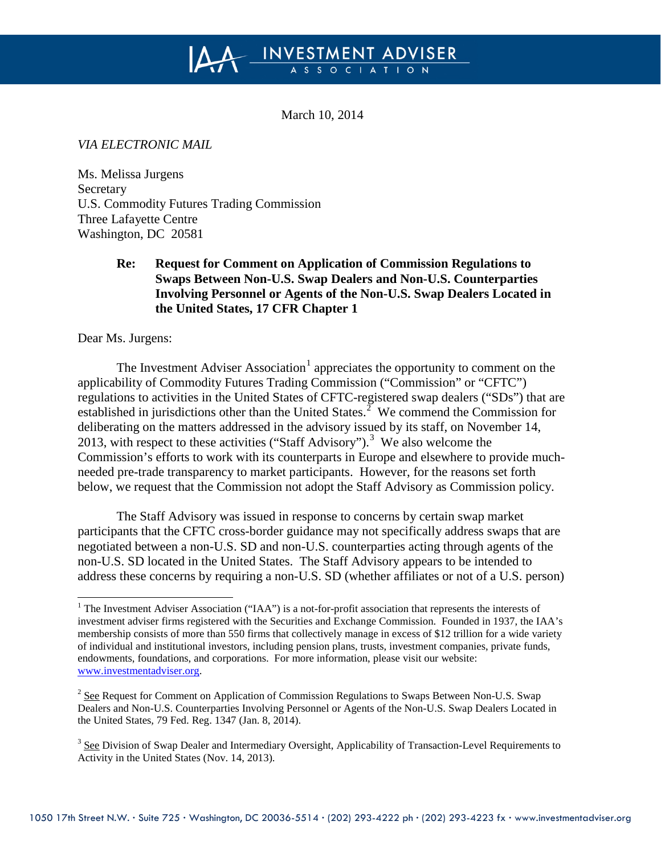# INVESTMENT ADVISER

March 10, 2014

*VIA ELECTRONIC MAIL*

Ms. Melissa Jurgens Secretary U.S. Commodity Futures Trading Commission Three Lafayette Centre Washington, DC 20581

## **Re: Request for Comment on Application of Commission Regulations to Swaps Between Non-U.S. Swap Dealers and Non-U.S. Counterparties Involving Personnel or Agents of the Non-U.S. Swap Dealers Located in the United States, 17 CFR Chapter 1**

Dear Ms. Jurgens:

The Investment Adviser Association<sup>[1](#page-0-0)</sup> appreciates the opportunity to comment on the applicability of Commodity Futures Trading Commission ("Commission" or "CFTC") regulations to activities in the United States of CFTC-registered swap dealers ("SDs") that are established in jurisdictions other than the United States.<sup>[2](#page-0-1)</sup> We commend the Commission for deliberating on the matters addressed in the advisory issued by its staff, on November 14, 2013, with respect to these activities ("Staff Advisory"). [3](#page-0-2) We also welcome the Commission's efforts to work with its counterparts in Europe and elsewhere to provide muchneeded pre-trade transparency to market participants. However, for the reasons set forth below, we request that the Commission not adopt the Staff Advisory as Commission policy.

The Staff Advisory was issued in response to concerns by certain swap market participants that the CFTC cross-border guidance may not specifically address swaps that are negotiated between a non-U.S. SD and non-U.S. counterparties acting through agents of the non-U.S. SD located in the United States. The Staff Advisory appears to be intended to address these concerns by requiring a non-U.S. SD (whether affiliates or not of a U.S. person)

<span id="page-0-0"></span><sup>&</sup>lt;sup>1</sup> The Investment Adviser Association ("IAA") is a not-for-profit association that represents the interests of investment adviser firms registered with the Securities and Exchange Commission. Founded in 1937, the IAA's membership consists of more than 550 firms that collectively manage in excess of \$12 trillion for a wide variety of individual and institutional investors, including pension plans, trusts, investment companies, private funds, endowments, foundations, and corporations. For more information, please visit our website: [www.investmentadviser.org.](http://www.investmentadviser.org/)

<span id="page-0-1"></span><sup>&</sup>lt;sup>2</sup> See Request for Comment on Application of Commission Regulations to Swaps Between Non-U.S. Swap Dealers and Non-U.S. Counterparties Involving Personnel or Agents of the Non-U.S. Swap Dealers Located in the United States*,* 79 Fed. Reg. 1347 (Jan. 8, 2014).

<span id="page-0-2"></span><sup>&</sup>lt;sup>3</sup> See Division of Swap Dealer and Intermediary Oversight, Applicability of Transaction-Level Requirements to Activity in the United States (Nov. 14, 2013).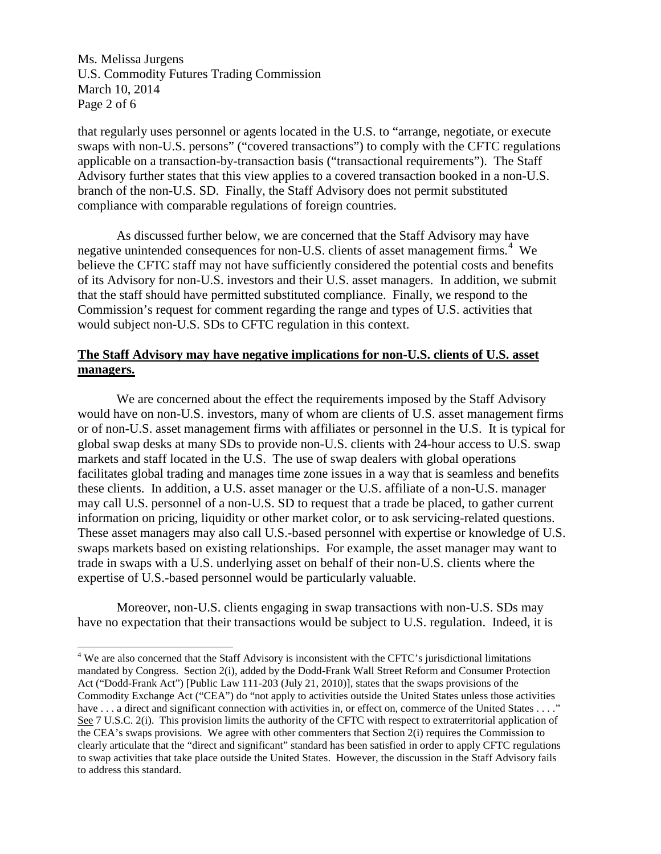Ms. Melissa Jurgens U.S. Commodity Futures Trading Commission March 10, 2014 Page 2 of 6

that regularly uses personnel or agents located in the U.S. to "arrange, negotiate, or execute swaps with non-U.S. persons" ("covered transactions") to comply with the CFTC regulations applicable on a transaction-by-transaction basis ("transactional requirements"). The Staff Advisory further states that this view applies to a covered transaction booked in a non-U.S. branch of the non-U.S. SD. Finally, the Staff Advisory does not permit substituted compliance with comparable regulations of foreign countries.

As discussed further below, we are concerned that the Staff Advisory may have negative unintended consequences for non-U.S. clients of asset management firms.<sup>[4](#page-1-0)</sup> We believe the CFTC staff may not have sufficiently considered the potential costs and benefits of its Advisory for non-U.S. investors and their U.S. asset managers. In addition, we submit that the staff should have permitted substituted compliance. Finally, we respond to the Commission's request for comment regarding the range and types of U.S. activities that would subject non-U.S. SDs to CFTC regulation in this context.

### **The Staff Advisory may have negative implications for non-U.S. clients of U.S. asset managers.**

We are concerned about the effect the requirements imposed by the Staff Advisory would have on non-U.S. investors, many of whom are clients of U.S. asset management firms or of non-U.S. asset management firms with affiliates or personnel in the U.S. It is typical for global swap desks at many SDs to provide non-U.S. clients with 24-hour access to U.S. swap markets and staff located in the U.S. The use of swap dealers with global operations facilitates global trading and manages time zone issues in a way that is seamless and benefits these clients. In addition, a U.S. asset manager or the U.S. affiliate of a non-U.S. manager may call U.S. personnel of a non-U.S. SD to request that a trade be placed, to gather current information on pricing, liquidity or other market color, or to ask servicing-related questions. These asset managers may also call U.S.-based personnel with expertise or knowledge of U.S. swaps markets based on existing relationships. For example, the asset manager may want to trade in swaps with a U.S. underlying asset on behalf of their non-U.S. clients where the expertise of U.S.-based personnel would be particularly valuable.

Moreover, non-U.S. clients engaging in swap transactions with non-U.S. SDs may have no expectation that their transactions would be subject to U.S. regulation. Indeed, it is

<span id="page-1-0"></span><sup>&</sup>lt;sup>4</sup> We are also concerned that the Staff Advisory is inconsistent with the CFTC's jurisdictional limitations mandated by Congress. Section 2(i), added by the Dodd-Frank Wall Street Reform and Consumer Protection Act ("Dodd-Frank Act") [Public Law 111-203 (July 21, 2010)], states that the swaps provisions of the Commodity Exchange Act ("CEA") do "not apply to activities outside the United States unless those activities have  $\dots$  a direct and significant connection with activities in, or effect on, commerce of the United States  $\dots$ ." See 7 U.S.C. 2(i). This provision limits the authority of the CFTC with respect to extraterritorial application of the CEA's swaps provisions. We agree with other commenters that Section 2(i) requires the Commission to clearly articulate that the "direct and significant" standard has been satisfied in order to apply CFTC regulations to swap activities that take place outside the United States. However, the discussion in the Staff Advisory fails to address this standard.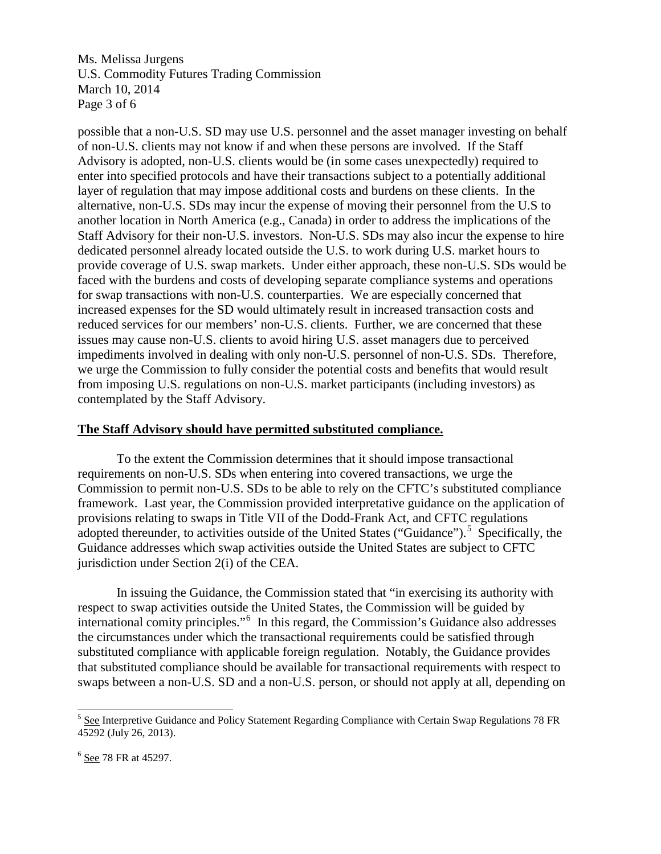Ms. Melissa Jurgens U.S. Commodity Futures Trading Commission March 10, 2014 Page 3 of 6

possible that a non-U.S. SD may use U.S. personnel and the asset manager investing on behalf of non-U.S. clients may not know if and when these persons are involved. If the Staff Advisory is adopted, non-U.S. clients would be (in some cases unexpectedly) required to enter into specified protocols and have their transactions subject to a potentially additional layer of regulation that may impose additional costs and burdens on these clients. In the alternative, non-U.S. SDs may incur the expense of moving their personnel from the U.S to another location in North America (e.g., Canada) in order to address the implications of the Staff Advisory for their non-U.S. investors. Non-U.S. SDs may also incur the expense to hire dedicated personnel already located outside the U.S. to work during U.S. market hours to provide coverage of U.S. swap markets. Under either approach, these non-U.S. SDs would be faced with the burdens and costs of developing separate compliance systems and operations for swap transactions with non-U.S. counterparties. We are especially concerned that increased expenses for the SD would ultimately result in increased transaction costs and reduced services for our members' non-U.S. clients. Further, we are concerned that these issues may cause non-U.S. clients to avoid hiring U.S. asset managers due to perceived impediments involved in dealing with only non-U.S. personnel of non-U.S. SDs. Therefore, we urge the Commission to fully consider the potential costs and benefits that would result from imposing U.S. regulations on non-U.S. market participants (including investors) as contemplated by the Staff Advisory.

### **The Staff Advisory should have permitted substituted compliance.**

To the extent the Commission determines that it should impose transactional requirements on non-U.S. SDs when entering into covered transactions, we urge the Commission to permit non-U.S. SDs to be able to rely on the CFTC's substituted compliance framework. Last year, the Commission provided interpretative guidance on the application of provisions relating to swaps in Title VII of the Dodd-Frank Act, and CFTC regulations adopted thereunder, to activities outside of the United States ("Guidance").<sup>[5](#page-2-0)</sup> Specifically, the Guidance addresses which swap activities outside the United States are subject to CFTC jurisdiction under Section 2(i) of the CEA.

In issuing the Guidance, the Commission stated that "in exercising its authority with respect to swap activities outside the United States, the Commission will be guided by international comity principles."[6](#page-2-1) In this regard, the Commission's Guidance also addresses the circumstances under which the transactional requirements could be satisfied through substituted compliance with applicable foreign regulation. Notably, the Guidance provides that substituted compliance should be available for transactional requirements with respect to swaps between a non-U.S. SD and a non-U.S. person, or should not apply at all, depending on

<span id="page-2-0"></span> $<sup>5</sup>$  See Interpretive Guidance and Policy Statement Regarding Compliance with Certain Swap Regulations 78 FR</sup> 45292 (July 26, 2013).

<span id="page-2-1"></span> $<sup>6</sup>$  See 78 FR at 45297.</sup>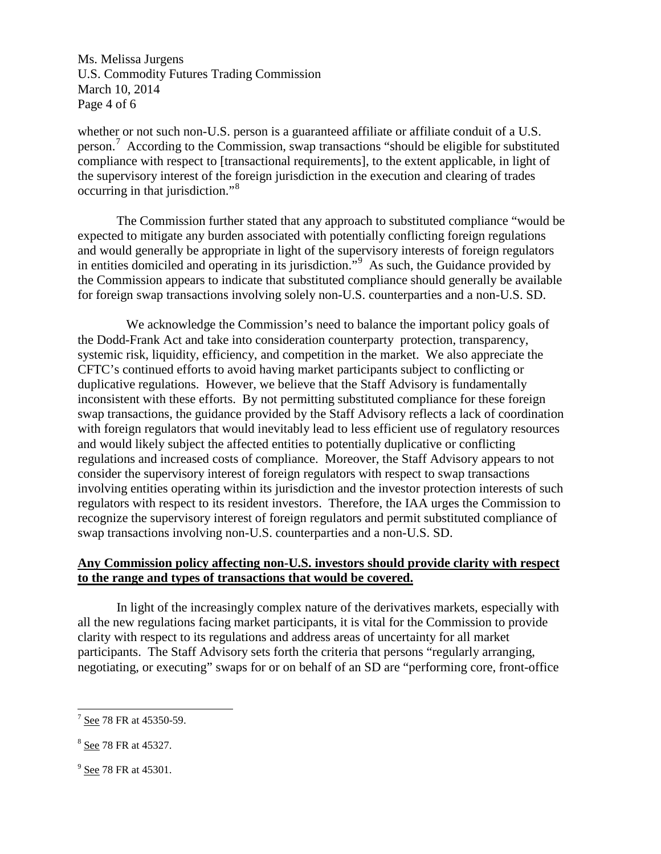Ms. Melissa Jurgens U.S. Commodity Futures Trading Commission March 10, 2014 Page 4 of 6

whether or not such non-U.S. person is a guaranteed affiliate or affiliate conduit of a U.S. person.<sup>[7](#page-3-0)</sup> According to the Commission, swap transactions "should be eligible for substituted compliance with respect to [transactional requirements], to the extent applicable, in light of the supervisory interest of the foreign jurisdiction in the execution and clearing of trades occurring in that jurisdiction."[8](#page-3-1)

The Commission further stated that any approach to substituted compliance "would be expected to mitigate any burden associated with potentially conflicting foreign regulations and would generally be appropriate in light of the supervisory interests of foreign regulators in entities domiciled and operating in its jurisdiction."<sup>[9](#page-3-2)</sup> As such, the Guidance provided by the Commission appears to indicate that substituted compliance should generally be available for foreign swap transactions involving solely non-U.S. counterparties and a non-U.S. SD.

 We acknowledge the Commission's need to balance the important policy goals of the Dodd-Frank Act and take into consideration counterparty protection, transparency, systemic risk, liquidity, efficiency, and competition in the market. We also appreciate the CFTC's continued efforts to avoid having market participants subject to conflicting or duplicative regulations. However, we believe that the Staff Advisory is fundamentally inconsistent with these efforts. By not permitting substituted compliance for these foreign swap transactions, the guidance provided by the Staff Advisory reflects a lack of coordination with foreign regulators that would inevitably lead to less efficient use of regulatory resources and would likely subject the affected entities to potentially duplicative or conflicting regulations and increased costs of compliance. Moreover, the Staff Advisory appears to not consider the supervisory interest of foreign regulators with respect to swap transactions involving entities operating within its jurisdiction and the investor protection interests of such regulators with respect to its resident investors. Therefore, the IAA urges the Commission to recognize the supervisory interest of foreign regulators and permit substituted compliance of swap transactions involving non-U.S. counterparties and a non-U.S. SD.

### **Any Commission policy affecting non-U.S. investors should provide clarity with respect to the range and types of transactions that would be covered.**

In light of the increasingly complex nature of the derivatives markets, especially with all the new regulations facing market participants, it is vital for the Commission to provide clarity with respect to its regulations and address areas of uncertainty for all market participants. The Staff Advisory sets forth the criteria that persons "regularly arranging, negotiating, or executing" swaps for or on behalf of an SD are "performing core, front-office

<span id="page-3-0"></span> $7$  See 78 FR at 45350-59.

<span id="page-3-1"></span><sup>8</sup> See 78 FR at 45327.

<span id="page-3-2"></span> $9$  See 78 FR at 45301.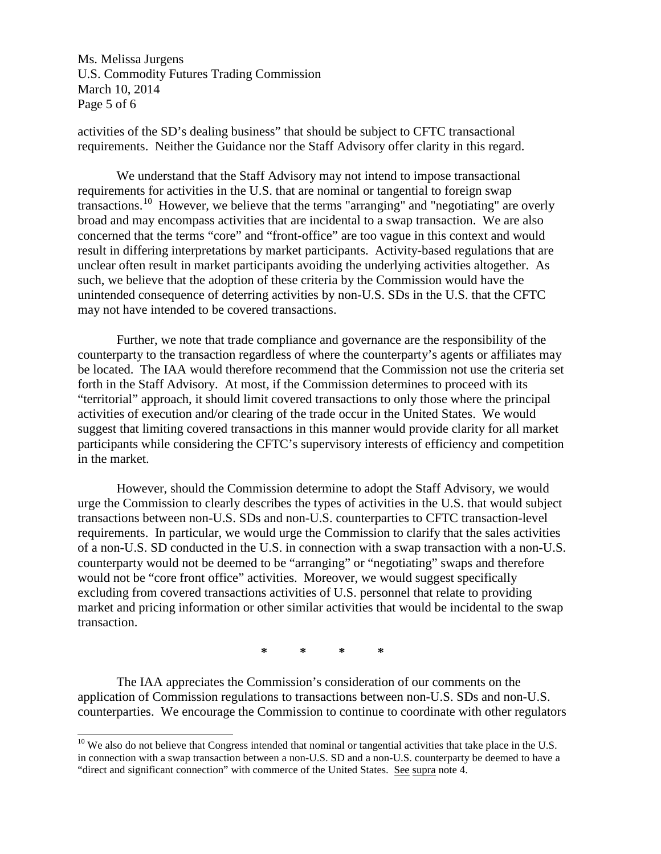Ms. Melissa Jurgens U.S. Commodity Futures Trading Commission March 10, 2014 Page 5 of 6

activities of the SD's dealing business" that should be subject to CFTC transactional requirements. Neither the Guidance nor the Staff Advisory offer clarity in this regard.

We understand that the Staff Advisory may not intend to impose transactional requirements for activities in the U.S. that are nominal or tangential to foreign swap transactions.<sup>[10](#page-4-0)</sup> However, we believe that the terms "arranging" and "negotiating" are overly broad and may encompass activities that are incidental to a swap transaction. We are also concerned that the terms "core" and "front-office" are too vague in this context and would result in differing interpretations by market participants. Activity-based regulations that are unclear often result in market participants avoiding the underlying activities altogether. As such, we believe that the adoption of these criteria by the Commission would have the unintended consequence of deterring activities by non-U.S. SDs in the U.S. that the CFTC may not have intended to be covered transactions.

Further, we note that trade compliance and governance are the responsibility of the counterparty to the transaction regardless of where the counterparty's agents or affiliates may be located. The IAA would therefore recommend that the Commission not use the criteria set forth in the Staff Advisory. At most, if the Commission determines to proceed with its "territorial" approach, it should limit covered transactions to only those where the principal activities of execution and/or clearing of the trade occur in the United States. We would suggest that limiting covered transactions in this manner would provide clarity for all market participants while considering the CFTC's supervisory interests of efficiency and competition in the market.

However, should the Commission determine to adopt the Staff Advisory, we would urge the Commission to clearly describes the types of activities in the U.S. that would subject transactions between non-U.S. SDs and non-U.S. counterparties to CFTC transaction-level requirements. In particular, we would urge the Commission to clarify that the sales activities of a non-U.S. SD conducted in the U.S. in connection with a swap transaction with a non-U.S. counterparty would not be deemed to be "arranging" or "negotiating" swaps and therefore would not be "core front office" activities. Moreover, we would suggest specifically excluding from covered transactions activities of U.S. personnel that relate to providing market and pricing information or other similar activities that would be incidental to the swap transaction.

**\* \* \* \***

The IAA appreciates the Commission's consideration of our comments on the application of Commission regulations to transactions between non-U.S. SDs and non-U.S. counterparties. We encourage the Commission to continue to coordinate with other regulators

<span id="page-4-0"></span> $10$  We also do not believe that Congress intended that nominal or tangential activities that take place in the U.S. in connection with a swap transaction between a non-U.S. SD and a non-U.S. counterparty be deemed to have a "direct and significant connection" with commerce of the United States. See supra note 4.